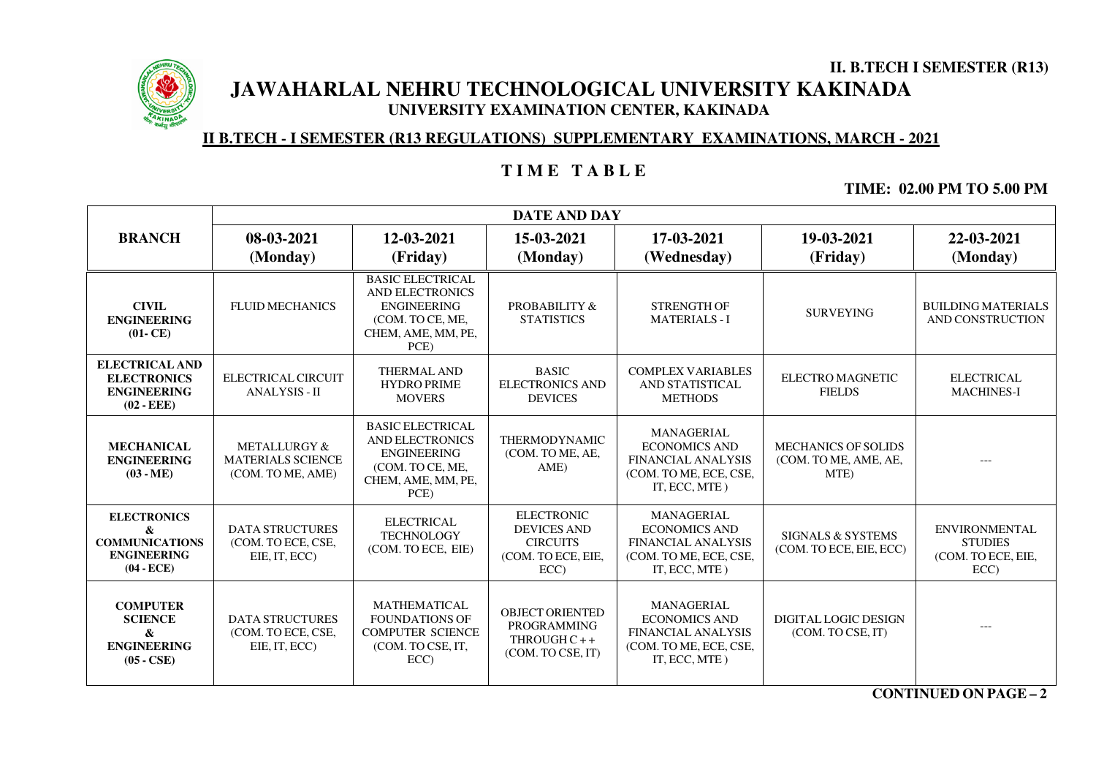

**II. B.TECH I SEMESTER (R13) JAWAHARLAL NEHRU TECHNOLOGICAL UNIVERSITY KAKINADA UNIVERSITY EXAMINATION CENTER, KAKINADA** 

### **II B.TECH - I SEMESTER (R13 REGULATIONS) SUPPLEMENTARY EXAMINATIONS, MARCH - 2021**

# **T I M E T A B L E**

**TIME: 02.00 PM TO 5.00 PM**

|                                                                                        | <b>DATE AND DAY</b>                                                      |                                                                                                                           |                                                                                         |                                                                                                                   |                                                             |                                                                      |
|----------------------------------------------------------------------------------------|--------------------------------------------------------------------------|---------------------------------------------------------------------------------------------------------------------------|-----------------------------------------------------------------------------------------|-------------------------------------------------------------------------------------------------------------------|-------------------------------------------------------------|----------------------------------------------------------------------|
| <b>BRANCH</b>                                                                          | 08-03-2021<br>(Monday)                                                   | 12-03-2021<br>(Friday)                                                                                                    | 15-03-2021<br>(Monday)                                                                  | 17-03-2021<br>(Wednesday)                                                                                         | 19-03-2021<br>(Friday)                                      | 22-03-2021<br>(Monday)                                               |
| <b>CIVIL</b><br><b>ENGINEERING</b><br>$(01 - CE)$                                      | <b>FLUID MECHANICS</b>                                                   | <b>BASIC ELECTRICAL</b><br><b>AND ELECTRONICS</b><br><b>ENGINEERING</b><br>(COM. TO CE, ME,<br>CHEM, AME, MM, PE,<br>PCE) | PROBABILITY &<br><b>STATISTICS</b>                                                      | <b>STRENGTH OF</b><br><b>MATERIALS-I</b>                                                                          | <b>SURVEYING</b>                                            | <b>BUILDING MATERIALS</b><br>AND CONSTRUCTION                        |
| <b>ELECTRICAL AND</b><br><b>ELECTRONICS</b><br><b>ENGINEERING</b><br>$(02 - EEE)$      | ELECTRICAL CIRCUIT<br><b>ANALYSIS - II</b>                               | THERMAL AND<br><b>HYDRO PRIME</b><br><b>MOVERS</b>                                                                        | <b>BASIC</b><br><b>ELECTRONICS AND</b><br><b>DEVICES</b>                                | <b>COMPLEX VARIABLES</b><br>AND STATISTICAL<br><b>METHODS</b>                                                     | <b>ELECTRO MAGNETIC</b><br><b>FIELDS</b>                    | <b>ELECTRICAL</b><br><b>MACHINES-I</b>                               |
| <b>MECHANICAL</b><br><b>ENGINEERING</b><br>$(03 - ME)$                                 | <b>METALLURGY &amp;</b><br><b>MATERIALS SCIENCE</b><br>(COM. TO ME, AME) | <b>BASIC ELECTRICAL</b><br><b>AND ELECTRONICS</b><br><b>ENGINEERING</b><br>(COM. TO CE, ME,<br>CHEM, AME, MM, PE,<br>PCE) | <b>THERMODYNAMIC</b><br>(COM. TO ME, AE,<br>AME)                                        | <b>MANAGERIAL</b><br><b>ECONOMICS AND</b><br><b>FINANCIAL ANALYSIS</b><br>(COM. TO ME, ECE, CSE,<br>IT, ECC, MTE) | <b>MECHANICS OF SOLIDS</b><br>(COM. TO ME, AME, AE,<br>MTE) | ---                                                                  |
| <b>ELECTRONICS</b><br>&<br><b>COMMUNICATIONS</b><br><b>ENGINEERING</b><br>$(04 - ECE)$ | <b>DATA STRUCTURES</b><br>(COM. TO ECE, CSE,<br>EIE, IT, ECC)            | <b>ELECTRICAL</b><br><b>TECHNOLOGY</b><br>(COM. TO ECE, EIE)                                                              | <b>ELECTRONIC</b><br><b>DEVICES AND</b><br><b>CIRCUITS</b><br>(COM. TO ECE, EIE,<br>ECC | <b>MANAGERIAL</b><br><b>ECONOMICS AND</b><br><b>FINANCIAL ANALYSIS</b><br>(COM. TO ME, ECE, CSE,<br>IT, ECC, MTE) | <b>SIGNALS &amp; SYSTEMS</b><br>(COM. TO ECE, EIE, ECC)     | <b>ENVIRONMENTAL</b><br><b>STUDIES</b><br>(COM. TO ECE, EIE,<br>ECC) |
| <b>COMPUTER</b><br><b>SCIENCE</b><br>&<br><b>ENGINEERING</b><br>$(05 - CSE)$           | <b>DATA STRUCTURES</b><br>(COM. TO ECE, CSE,<br>EIE, IT, ECC)            | <b>MATHEMATICAL</b><br><b>FOUNDATIONS OF</b><br><b>COMPUTER SCIENCE</b><br>(COM. TO CSE, IT,<br>ECC                       | <b>OBJECT ORIENTED</b><br><b>PROGRAMMING</b><br>THROUGH $C++$<br>(COM. TO CSE, IT)      | <b>MANAGERIAL</b><br><b>ECONOMICS AND</b><br><b>FINANCIAL ANALYSIS</b><br>(COM. TO ME, ECE, CSE,<br>IT, ECC, MTE) | <b>DIGITAL LOGIC DESIGN</b><br>(COM. TO CSE, IT)            | $---$                                                                |

**CONTINUED ON PAGE –2**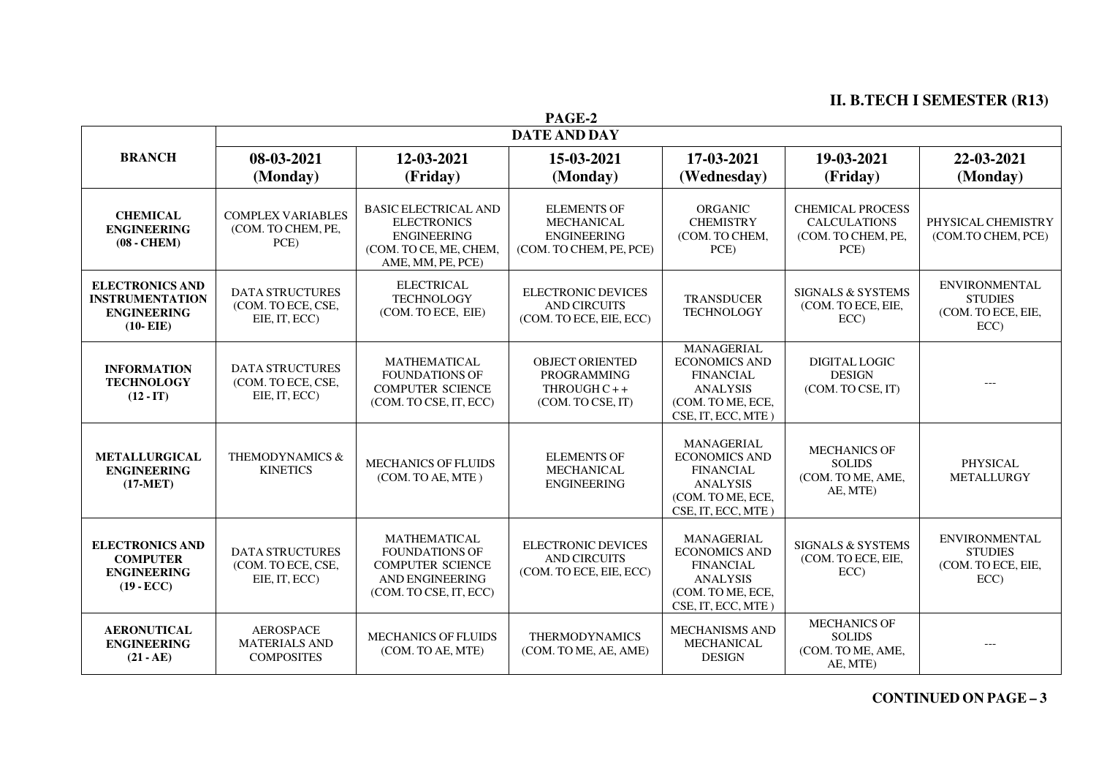## **II. B.TECH I SEMESTER (R13)**

| PAGE-2                                                                                |                                                               |                                                                                                                             |                                                                                          |                                                                                                                             |                                                                              |                                                                      |
|---------------------------------------------------------------------------------------|---------------------------------------------------------------|-----------------------------------------------------------------------------------------------------------------------------|------------------------------------------------------------------------------------------|-----------------------------------------------------------------------------------------------------------------------------|------------------------------------------------------------------------------|----------------------------------------------------------------------|
|                                                                                       | <b>DATE AND DAY</b>                                           |                                                                                                                             |                                                                                          |                                                                                                                             |                                                                              |                                                                      |
| <b>BRANCH</b>                                                                         | 08-03-2021<br>12-03-2021                                      |                                                                                                                             | 15-03-2021                                                                               | 17-03-2021                                                                                                                  | 19-03-2021                                                                   | 22-03-2021                                                           |
|                                                                                       | (Monday)                                                      | (Friday)                                                                                                                    | (Monday)                                                                                 | (Wednesday)                                                                                                                 | (Friday)                                                                     | (Monday)                                                             |
| <b>CHEMICAL</b><br><b>ENGINEERING</b><br>$(08 - CHEM)$                                | <b>COMPLEX VARIABLES</b><br>(COM. TO CHEM, PE,<br>PCE)        | <b>BASIC ELECTRICAL AND</b><br><b>ELECTRONICS</b><br><b>ENGINEERING</b><br>(COM. TO CE. ME. CHEM.<br>AME, MM, PE, PCE)      | <b>ELEMENTS OF</b><br><b>MECHANICAL</b><br><b>ENGINEERING</b><br>(COM. TO CHEM, PE, PCE) | <b>ORGANIC</b><br><b>CHEMISTRY</b><br>(COM. TO CHEM,<br>PCE)                                                                | <b>CHEMICAL PROCESS</b><br><b>CALCULATIONS</b><br>(COM. TO CHEM, PE,<br>PCE) | PHYSICAL CHEMISTRY<br>(COM.TO CHEM, PCE)                             |
| <b>ELECTRONICS AND</b><br><b>INSTRUMENTATION</b><br><b>ENGINEERING</b><br>$(10- EIE)$ | <b>DATA STRUCTURES</b><br>(COM. TO ECE, CSE,<br>EIE, IT, ECC) | <b>ELECTRICAL</b><br><b>TECHNOLOGY</b><br>(COM. TO ECE, EIE)                                                                | <b>ELECTRONIC DEVICES</b><br><b>AND CIRCUITS</b><br>(COM. TO ECE, EIE, ECC)              | <b>TRANSDUCER</b><br><b>TECHNOLOGY</b>                                                                                      | SIGNALS & SYSTEMS<br>(COM. TO ECE, EIE,<br>ECC                               | <b>ENVIRONMENTAL</b><br><b>STUDIES</b><br>(COM. TO ECE, EIE,<br>ECC) |
| <b>INFORMATION</b><br><b>TECHNOLOGY</b><br>$(12 - IT)$                                | <b>DATA STRUCTURES</b><br>(COM. TO ECE, CSE,<br>EIE, IT, ECC) | <b>MATHEMATICAL</b><br><b>FOUNDATIONS OF</b><br><b>COMPUTER SCIENCE</b><br>(COM. TO CSE, IT, ECC)                           | <b>OBJECT ORIENTED</b><br><b>PROGRAMMING</b><br>THROUGH $C++$<br>(COM. TO CSE, IT)       | MANAGERIAL<br><b>ECONOMICS AND</b><br><b>FINANCIAL</b><br><b>ANALYSIS</b><br>(COM. TO ME, ECE,<br>CSE, IT, ECC, MTE)        | <b>DIGITAL LOGIC</b><br><b>DESIGN</b><br>(COM. TO CSE, IT)                   | $---$                                                                |
| <b>METALLURGICAL</b><br><b>ENGINEERING</b><br>$(17-MET)$                              | THEMODYNAMICS &<br><b>KINETICS</b>                            | <b>MECHANICS OF FLUIDS</b><br>(COM. TO AE, MTE)                                                                             | <b>ELEMENTS OF</b><br><b>MECHANICAL</b><br><b>ENGINEERING</b>                            | <b>MANAGERIAL</b><br><b>ECONOMICS AND</b><br><b>FINANCIAL</b><br><b>ANALYSIS</b><br>(COM. TO ME, ECE,<br>CSE, IT, ECC, MTE) | <b>MECHANICS OF</b><br><b>SOLIDS</b><br>(COM. TO ME, AME,<br>AE, MTE)        | PHYSICAL<br><b>METALLURGY</b>                                        |
| <b>ELECTRONICS AND</b><br><b>COMPUTER</b><br><b>ENGINEERING</b><br>$(19 - ECC)$       | <b>DATA STRUCTURES</b><br>(COM. TO ECE, CSE,<br>EIE, IT, ECC) | <b>MATHEMATICAL</b><br><b>FOUNDATIONS OF</b><br><b>COMPUTER SCIENCE</b><br><b>AND ENGINEERING</b><br>(COM. TO CSE, IT, ECC) | <b>ELECTRONIC DEVICES</b><br><b>AND CIRCUITS</b><br>(COM. TO ECE, EIE, ECC)              | <b>MANAGERIAL</b><br><b>ECONOMICS AND</b><br><b>FINANCIAL</b><br><b>ANALYSIS</b><br>(COM. TO ME, ECE,<br>CSE, IT, ECC, MTE) | SIGNALS & SYSTEMS<br>(COM. TO ECE, EIE,<br>ECC)                              | <b>ENVIRONMENTAL</b><br><b>STUDIES</b><br>(COM. TO ECE, EIE,<br>ECC) |
| <b>AERONUTICAL</b><br><b>ENGINEERING</b><br>$(21 - AE)$                               | <b>AEROSPACE</b><br><b>MATERIALS AND</b><br><b>COMPOSITES</b> | <b>MECHANICS OF FLUIDS</b><br>(COM. TO AE, MTE)                                                                             | THERMODYNAMICS<br>(COM. TO ME, AE, AME)                                                  | <b>MECHANISMS AND</b><br><b>MECHANICAL</b><br><b>DESIGN</b>                                                                 | <b>MECHANICS OF</b><br><b>SOLIDS</b><br>(COM. TO ME, AME,<br>AE, MTE)        | $---$                                                                |

**CONTINUED ON PAGE – <sup>3</sup>**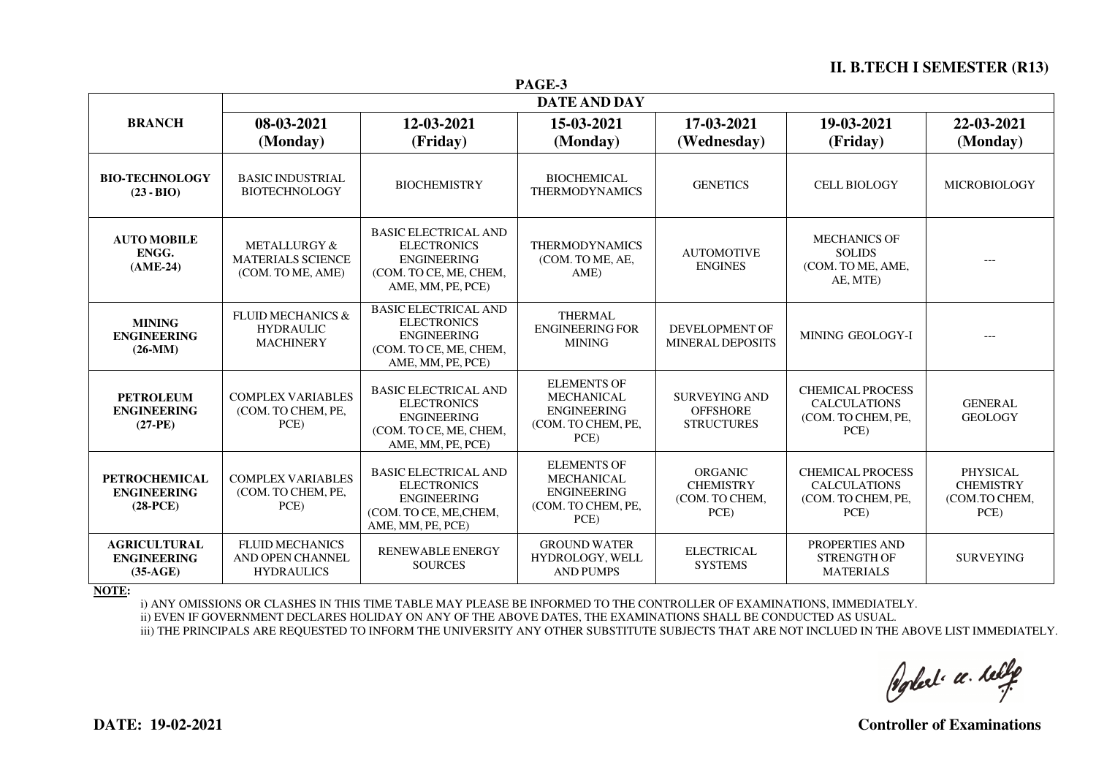#### **II. B.TECH I SEMESTER (R13)**

| PAGE-3                                                   |                                                                      |                                                                                                                        |                                                                                             |                                                              |                                                                              |                                                              |
|----------------------------------------------------------|----------------------------------------------------------------------|------------------------------------------------------------------------------------------------------------------------|---------------------------------------------------------------------------------------------|--------------------------------------------------------------|------------------------------------------------------------------------------|--------------------------------------------------------------|
|                                                          | <b>DATE AND DAY</b>                                                  |                                                                                                                        |                                                                                             |                                                              |                                                                              |                                                              |
| <b>BRANCH</b>                                            | 08-03-2021<br>(Monday)                                               | 12-03-2021<br>(Friday)                                                                                                 | 15-03-2021<br>(Monday)                                                                      | 17-03-2021<br>(Wednesday)                                    | 19-03-2021<br>(Friday)                                                       | 22-03-2021<br>(Monday)                                       |
| <b>BIO-TECHNOLOGY</b><br>$(23 - BIO)$                    | <b>BASIC INDUSTRIAL</b><br><b>BIOTECHNOLOGY</b>                      | <b>BIOCHEMISTRY</b>                                                                                                    | <b>BIOCHEMICAL</b><br><b>THERMODYNAMICS</b>                                                 | <b>GENETICS</b>                                              | <b>CELL BIOLOGY</b>                                                          | <b>MICROBIOLOGY</b>                                          |
| <b>AUTO MOBILE</b><br>ENGG.<br>$(AME-24)$                | METALLURGY &<br><b>MATERIALS SCIENCE</b><br>(COM. TO ME, AME)        | <b>BASIC ELECTRICAL AND</b><br><b>ELECTRONICS</b><br><b>ENGINEERING</b><br>(COM. TO CE, ME, CHEM,<br>AME, MM, PE, PCE) | <b>THERMODYNAMICS</b><br>(COM. TO ME, AE,<br>AME)                                           | <b>AUTOMOTIVE</b><br><b>ENGINES</b>                          | <b>MECHANICS OF</b><br><b>SOLIDS</b><br>(COM. TO ME, AME,<br>AE, MTE)        | $---$                                                        |
| <b>MINING</b><br><b>ENGINEERING</b><br>$(26-MM)$         | <b>FLUID MECHANICS &amp;</b><br><b>HYDRAULIC</b><br><b>MACHINERY</b> | <b>BASIC ELECTRICAL AND</b><br><b>ELECTRONICS</b><br><b>ENGINEERING</b><br>(COM. TO CE, ME, CHEM,<br>AME, MM, PE, PCE) | <b>THERMAL</b><br><b>ENGINEERING FOR</b><br><b>MINING</b>                                   | DEVELOPMENT OF<br><b>MINERAL DEPOSITS</b>                    | MINING GEOLOGY-I                                                             |                                                              |
| <b>PETROLEUM</b><br><b>ENGINEERING</b><br>$(27-PE)$      | <b>COMPLEX VARIABLES</b><br>(COM. TO CHEM, PE,<br>PCE)               | <b>BASIC ELECTRICAL AND</b><br><b>ELECTRONICS</b><br><b>ENGINEERING</b><br>(COM. TO CE, ME, CHEM,<br>AME, MM, PE, PCE) | <b>ELEMENTS OF</b><br><b>MECHANICAL</b><br><b>ENGINEERING</b><br>(COM. TO CHEM, PE,<br>PCE) | <b>SURVEYING AND</b><br><b>OFFSHORE</b><br><b>STRUCTURES</b> | <b>CHEMICAL PROCESS</b><br><b>CALCULATIONS</b><br>(COM. TO CHEM, PE,<br>PCE) | <b>GENERAL</b><br><b>GEOLOGY</b>                             |
| <b>PETROCHEMICAL</b><br><b>ENGINEERING</b><br>$(28-PCE)$ | <b>COMPLEX VARIABLES</b><br>(COM. TO CHEM, PE,<br>PCE)               | <b>BASIC ELECTRICAL AND</b><br><b>ELECTRONICS</b><br><b>ENGINEERING</b><br>(COM. TO CE, ME, CHEM,<br>AME, MM, PE, PCE) | <b>ELEMENTS OF</b><br><b>MECHANICAL</b><br><b>ENGINEERING</b><br>(COM. TO CHEM, PE,<br>PCE) | <b>ORGANIC</b><br><b>CHEMISTRY</b><br>(COM. TO CHEM,<br>PCE) | <b>CHEMICAL PROCESS</b><br><b>CALCULATIONS</b><br>(COM. TO CHEM, PE,<br>PCE) | <b>PHYSICAL</b><br><b>CHEMISTRY</b><br>(COM.TO CHEM,<br>PCE) |
| <b>AGRICULTURAL</b><br><b>ENGINEERING</b><br>$(35-AGE)$  | <b>FLUID MECHANICS</b><br>AND OPEN CHANNEL<br><b>HYDRAULICS</b>      | <b>RENEWABLE ENERGY</b><br><b>SOURCES</b>                                                                              | <b>GROUND WATER</b><br>HYDROLOGY, WELL<br><b>AND PUMPS</b>                                  | <b>ELECTRICAL</b><br><b>SYSTEMS</b>                          | PROPERTIES AND<br><b>STRENGTH OF</b><br><b>MATERIALS</b>                     | <b>SURVEYING</b>                                             |

**NOTE:** 

i) ANY OMISSIONS OR CLASHES IN THIS TIME TABLE MAY PLEASE BE INFORMED TO THE CONTROLLER OF EXAMINATIONS, IMMEDIATELY.

ii) EVEN IF GOVERNMENT DECLARES HOLIDAY ON ANY OF THE ABOVE DATES, THE EXAMINATIONS SHALL BE CONDUCTED AS USUAL.

iii) THE PRINCIPALS ARE REQUESTED TO INFORM THE UNIVERSITY ANY OTHER SUBSTITUTE SUBJECTS THAT ARE NOT INCLUED IN THE ABOVE LIST IMMEDIATELY.

Poplet ce telle

**DATE: 19-02-2021 Controller of Examinations**